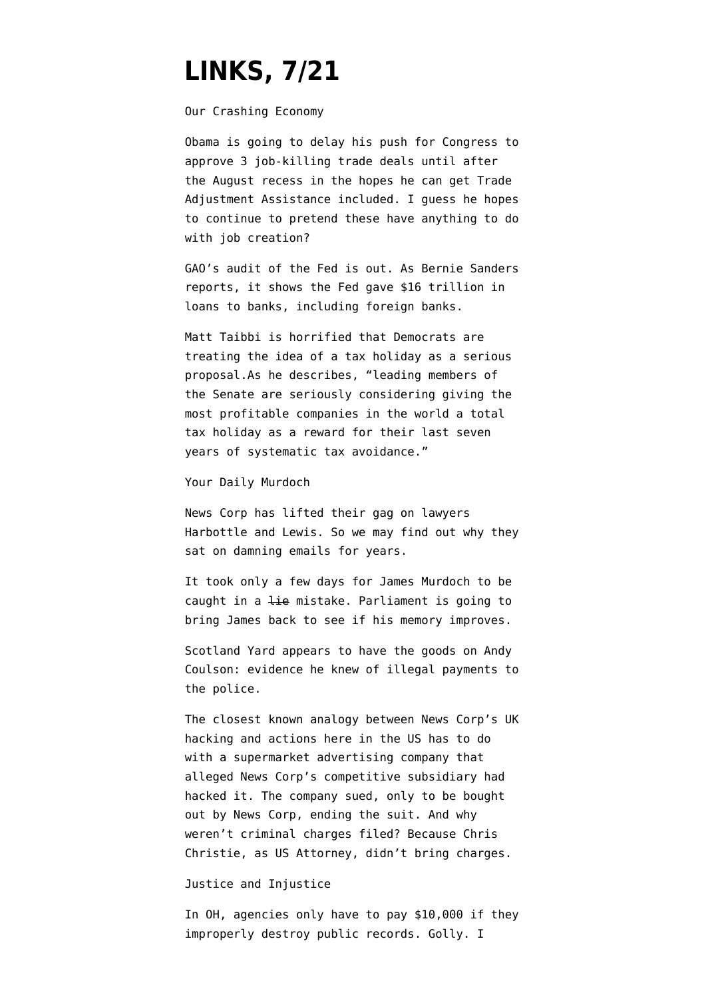## **[LINKS, 7/21](https://www.emptywheel.net/2011/07/21/links-721/)**

Our Crashing Economy

Obama [is going to delay](http://www.bloomberg.com/news/2011-07-20/free-trade-agreements-said-to-be-delayed-by-obama-amid-worker-aid-dispute.html) his push for Congress to approve 3 job-killing trade deals until after the August recess in the hopes he can get Trade Adjustment Assistance included. I guess he hopes to continue to pretend these have anything to do with job creation?

GAO's [audit](http://sanders.senate.gov/imo/media/doc/GAO%20Fed%20Investigation.pdf) of the Fed is out. As Bernie Sanders [reports,](http://sanders.senate.gov/newsroom/news/?id=9E2A4EA8-6E73-4BE2-A753-62060DCBB3C3) it shows the Fed gave \$16 trillion in loans to banks, including foreign banks.

Matt Taibbi [is horrified](http://ow.ly/5JtRe) that Democrats are treating the idea of a tax holiday as a serious proposal.As he describes, "leading members of the Senate are seriously considering giving the most profitable companies in the world a total tax holiday as a reward for their last seven years of systematic tax avoidance."

Your Daily Murdoch

News Corp has [lifted their gag](http://www.telegraph.co.uk/news/uknews/phone-hacking/8651063/Phone-hacking-News-International-lifts-gagging-order-imposed-on-its-lawyers.html) on lawyers Harbottle and Lewis. So we may find out why they sat on damning emails for years.

It took only a few days for James Murdoch to be [caught in a lie mistake.](http://www.guardian.co.uk/media/2011/jul/21/james-murdoch-select-committee-evidence) Parliament is going to [bring James back](http://www.channel4.com/news/former-now-editor-to-return-to-britain-voluntarily) to see if his memory improves.

Scotland Yard [appears to have the goods](http://www.reuters.com/article/2011/07/21/us-newscorp-idUSTRE76H07P20110721) on Andy Coulson: evidence he knew of illegal payments to the police.

The closest known analogy between News Corp's UK hacking and actions here in the US has to do with a supermarket advertising company that alleged News Corp's competitive subsidiary had hacked it. The company sued, only to be bought out by News Corp, ending the suit. And why weren't criminal charges filed? Because Chris Christie, as US Attorney, [didn't bring charges.](http://www.bnet.com/blog/advertising-business/inside-news-corps-alleged-us-computer-hacking-scandal/9415?tag=content;drawer-container)

Justice and Injustice

In OH, agencies [only have to pay](http://sunlightfoundation.com/blog/2011/07/20/ohios-latest-law-could-keep-controversial-public-records-in-the-dark/) \$10,000 if they improperly destroy public records. Golly. I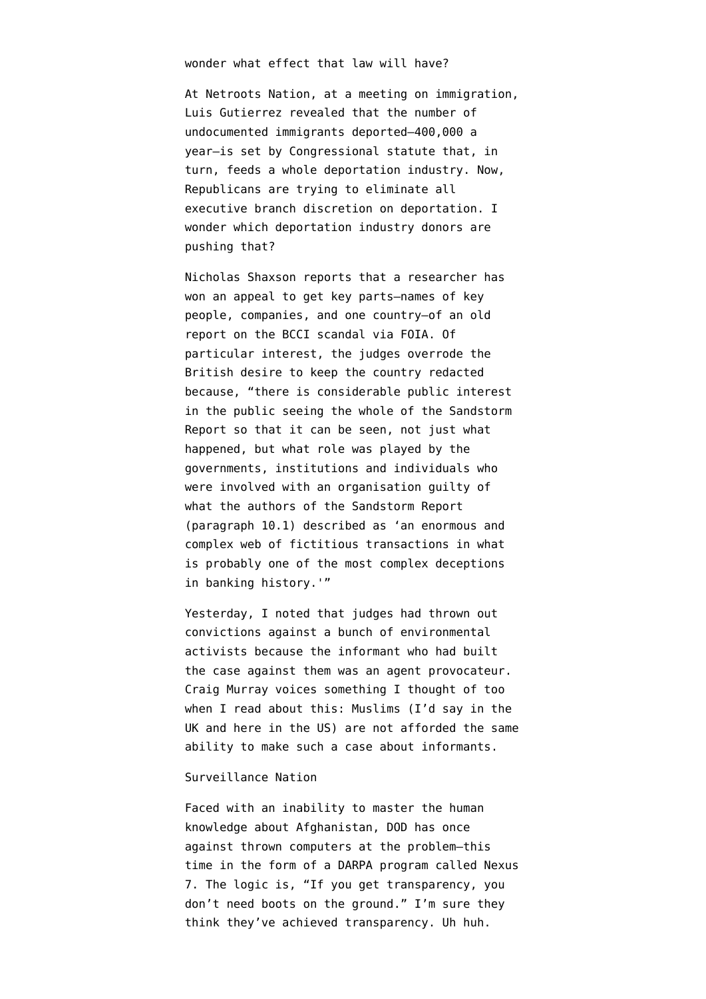wonder what effect that law will have?

At Netroots Nation, at a meeting on immigration, Luis Gutierrez revealed that the number of undocumented immigrants deported–400,000 a year–is set by Congressional statute that, in turn, feeds a whole deportation industry. Now, Republicans [are trying](http://www.newstaco.com/2011/07/20/gop-seeks-to-halt-administrative-amnesty/) to eliminate all executive branch discretion on deportation. I wonder which deportation industry donors are pushing that?

Nicholas Shaxson [reports](http://treasureislands.org/bcci-case-close-to-breaking-open/) that a researcher has won an appeal to get key parts–names of key people, companies, and one country–of an old report on the BCCI scandal via FOIA. Of particular interest, the judges [overrode](http://www.informationtribunal.gov.uk/DBFiles/Decision/i544/20110711%20Decision%20EA20100054.pdf) the British desire to keep the country redacted because, "there is considerable public interest in the public seeing the whole of the Sandstorm Report so that it can be seen, not just what happened, but what role was played by the governments, institutions and individuals who were involved with an organisation guilty of what the authors of the Sandstorm Report (paragraph 10.1) described as 'an enormous and complex web of fictitious transactions in what is probably one of the most complex deceptions in banking history.'"

Yesterday, I [noted](http://www.guardian.co.uk/environment/2011/jul/20/police-spy-on-climate-activists-unlawful) that judges had thrown out convictions against a bunch of environmental activists because the informant who had built the case against them was an agent provocateur. Craig Murray [voices](http://www.craigmurray.org.uk/archives/2011/07/agents-provocateurs/) something I thought of too when I read about this: Muslims (I'd say in the UK and here in the US) are not afforded the same ability to make such a case about informants.

## Surveillance Nation

Faced with an inability to master the human knowledge about Afghanistan, DOD has once against [thrown computers at the problem–](http://www.wired.com/dangerroom/2011/07/darpas-secret-spy-machine/all/1)this time in the form of a DARPA program called Nexus 7. The logic is, "If you get transparency, you don't need boots on the ground." I'm sure they think they've achieved transparency. Uh huh.